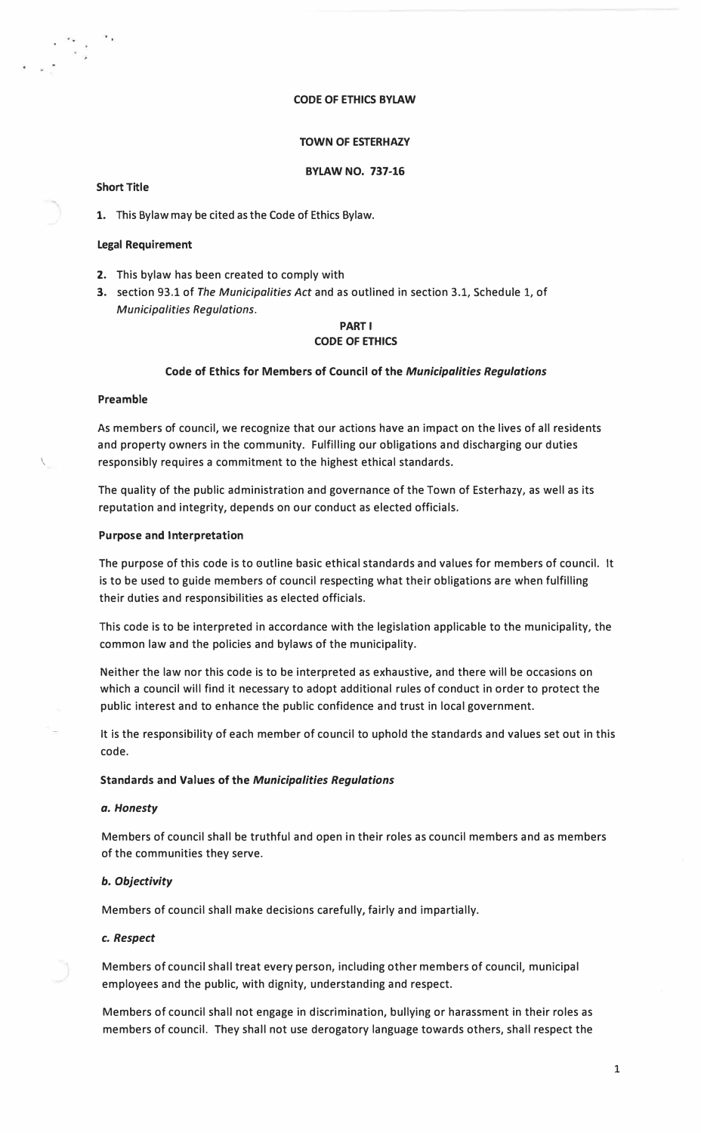#### **CODE OF ETHICS BYLAW**

# **TOWN OF ESTERHAZY**

## **BYLAW NO. 737-16**

# **Short Title**

1. This Bylaw may be cited as the Code of Ethics Bylaw.

#### **Legal Requirement**

- 2. This bylaw has been created to comply with
- 3. section 93.1 of *The Municipalities Act* and as outlined in section 3.1, Schedule 1, of *Municipalities Regulations.*

# **PARTI CODE OF ETHICS**

#### **Code of Ethics for Members of Council of the** *Municipalities Regulations*

# **Preamble**

As members of council, we recognize that our actions have an impact on the lives of all residents and property owners in the community. Fulfilling our obligations and discharging our duties responsibly requires a commitment to the highest ethical standards.

The quality of the public administration and governance of the Town of Esterhazy, as well as its reputation and integrity, depends on our conduct as elected officials.

#### **Purpose and Interpretation**

The purpose of this code is to outline basic ethical standards and values for members of council. It is to be used to guide members of council respecting what their obligations are when fulfilling their duties and responsibilities as elected officials.

This code is to be interpreted in accordance with the legislation applicable to the municipality, the common law and the policies and bylaws of the municipality.

Neither the law nor this code is to be interpreted as exhaustive, and there will be occasions on which a council will find it necessary to adopt additional rules of conduct in order to protect the public interest and to enhance the public confidence and trust in local government.

It is the responsibility of each member of council to uphold the standards and values set out in this code.

### **Standards and Values of the** *Municipalities Regulations*

#### *a. Honesty*

Members of council shall be truthful and open in their roles as council members and as members of the communities they serve.

### *b. Objectivity*

Members of council shall make decisions carefully, fairly and impartially.

#### *c. Respect*

Members of council shall treat every person, including other members of council, municipal employees and the public, with dignity, understanding and respect.

Members of council shall not engage in discrimination, bullying or harassment in their roles as members of council. They shall not use derogatory language towards others, shall respect the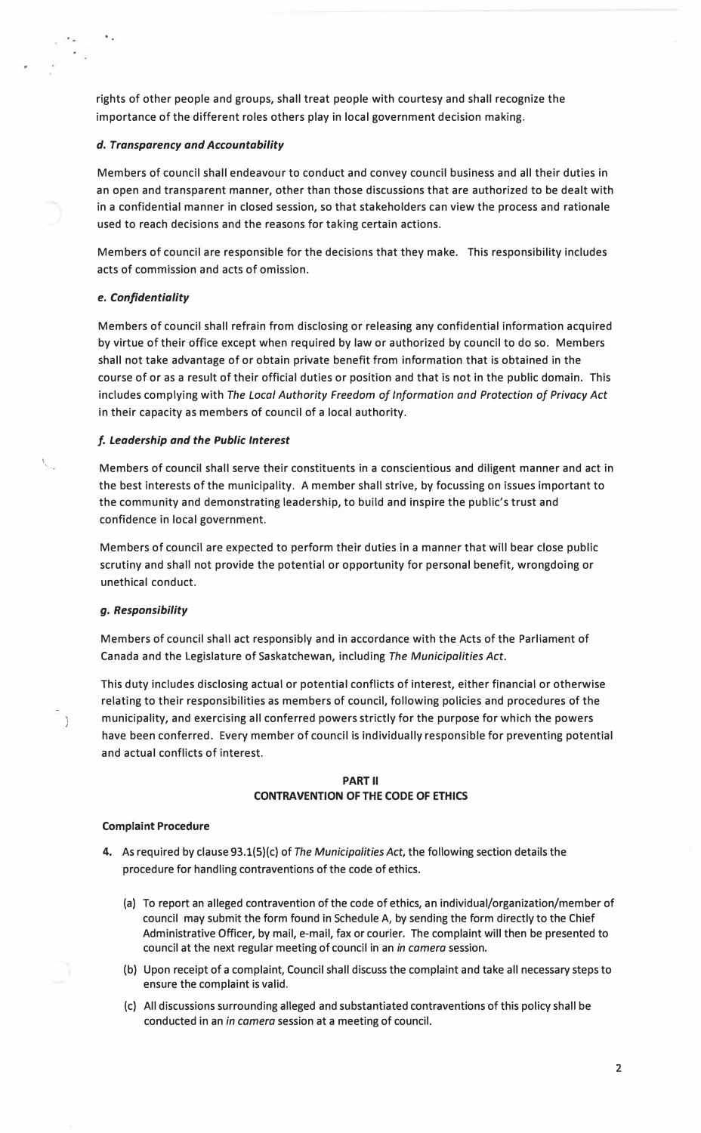rights of other people and groups, shall treat people with courtesy and shall recognize the importance of the different roles others play in local government decision making.

### *d. Transparency and Accountability*

Members of council shall endeavour to conduct and convey council business and all their duties in an open and transparent manner, other than those discussions that are authorized to be dealt with in a confidential manner in closed session, so that stakeholders can view the process and rationale used to reach decisions and the reasons for taking certain actions.

Members of council are responsible for the decisions that they make. This responsibility includes acts of commission and acts of omission.

### *e. Confidentiality*

Members of council shall refrain from disclosing or releasing any confidential information acquired by virtue of their office except when required by law or authorized by council to do so. Members shall not take advantage of or obtain private benefit from information that is obtained in the course of or as a result of their official duties or position and that is not in the public domain. This includes complying with *The Local Authority Freedom of Information and Protection of Privacy Act*  in their capacity as members of council of a local authority.

### *f. Leadership and the Public Interest*

Members of council shall serve their constituents in a conscientious and diligent manner and act in the best interests of the municipality. A member shall strive, by focussing on issues important to the community and demonstrating leadership, to build and inspire the public's trust and confidence in local government.

Members of council are expected to perform their duties in a manner that will bear close public scrutiny and shall not provide the potential or opportunity for personal benefit, wrongdoing or unethical conduct.

#### *g. Responsibility*

 $\tilde{\mathcal{L}}$ 

Members of council shall act responsibly and in accordance with the Acts of the Parliament of Canada and the Legislature of Saskatchewan, including *The Municipalities Act.* 

This duty includes disclosing actual or potential conflicts of interest, either financial or otherwise relating to their responsibilities as members of council, following policies and procedures of the municipality, and exercising all conferred powers strictly for the purpose for which the powers have been conferred. Every member of council is individually responsible for preventing potential and actual conflicts of interest.

# **PART II CONTRAVENTION OF THE CODE OF ETHICS**

#### **Complaint Procedure**

- 4. As required by clause 93.l(S)(c) of *The Municipalities Act,* the following section details the procedure for handling contraventions of the code of ethics.
	- (a) To report an alleged contravention of the code of ethics, an individual/organization/member of council may submit the form found in Schedule A, by sending the form directly to the Chief Administrative Officer, by mail, e-mail, fax or courier. The complaint will then be presented to council at the next regular meeting of council in an *in camera* session.
	- (b) Upon receipt of a complaint, Council shall discuss the complaint and take all necessary steps to ensure the complaint is valid.
	- (c) All discussions surrounding alleged and substantiated contraventions of this policy shall be conducted in an *in camera* session at a meeting of council.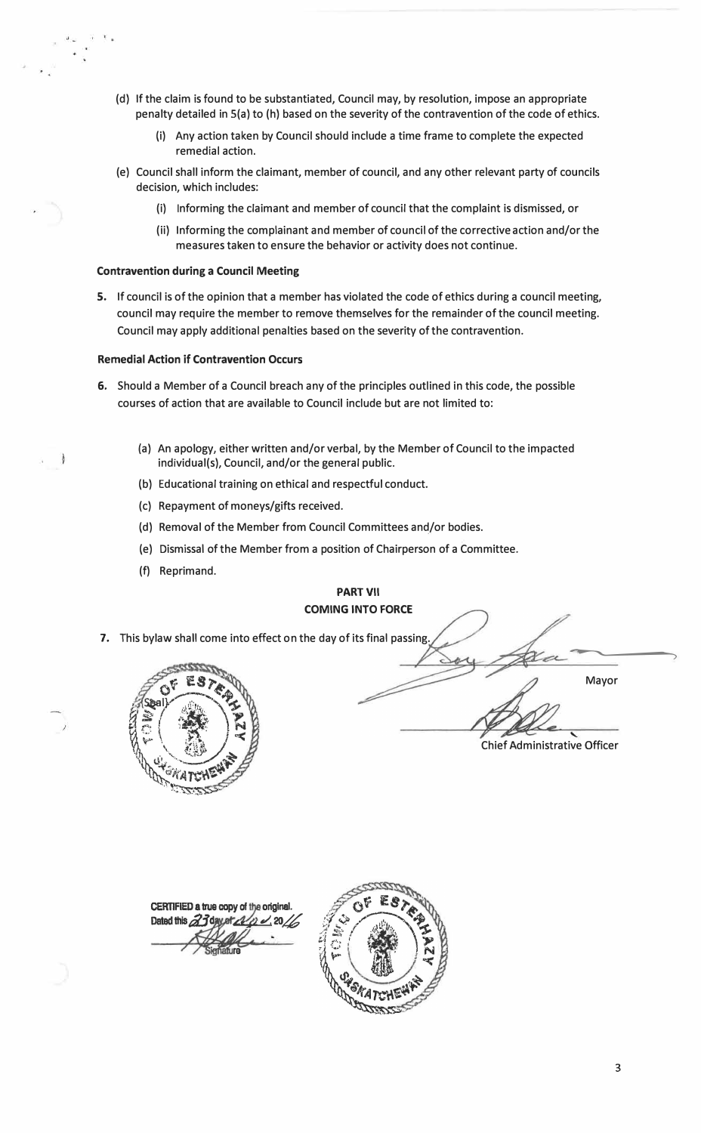- (d) If the claim is found to be substantiated, Council may, by resolution, impose an appropriate penalty detailed in S(a) to (h) based on the severity of the contravention of the code of ethics.
	- (i) Any action taken by Council should include a time frame to complete the expected remedial action.
- (e) Council shall inform the claimant, member of council, and any other relevant party of councils decision, which includes:
	- (i) Informing the claimant and member of council that the complaint is dismissed, or
	- (ii) Informing the complainant and member of council of the corrective action and/or the measures taken to ensure the behavior or activity does not continue.

#### **Contravention during a Council Meeting**

5. If council is of the opinion that a member has violated the code of ethics during a council meeting, council may require the member to remove themselves for the remainder of the council meeting. Council may apply additional penalties based on the severity of the contravention.

### **Remedial Action if Contravention Occurs**

- 6. Should a Member of a Council breach any of the principles outlined in this code, the possible courses of action that are available to Council include but are not limited to:
	- (a) An apology, either written and/or verbal, by the Member of Council to the impacted individual(s), Council, and/or the general public.
	- (b) Educational training on ethical and respectful conduct.
	- (c) Repayment of moneys/gifts received.
	- (d) Removal of the Member from Council Committees and/or bodies.
	- (e) Dismissal of the Member from a position of Chairperson of a Committee.
	- (f) Reprimand.

# **PART VII COMING INTO FORCE**

7. This bylaw shall come into effect on the day of its final passing.



� Mayor Chief Administrative Officer